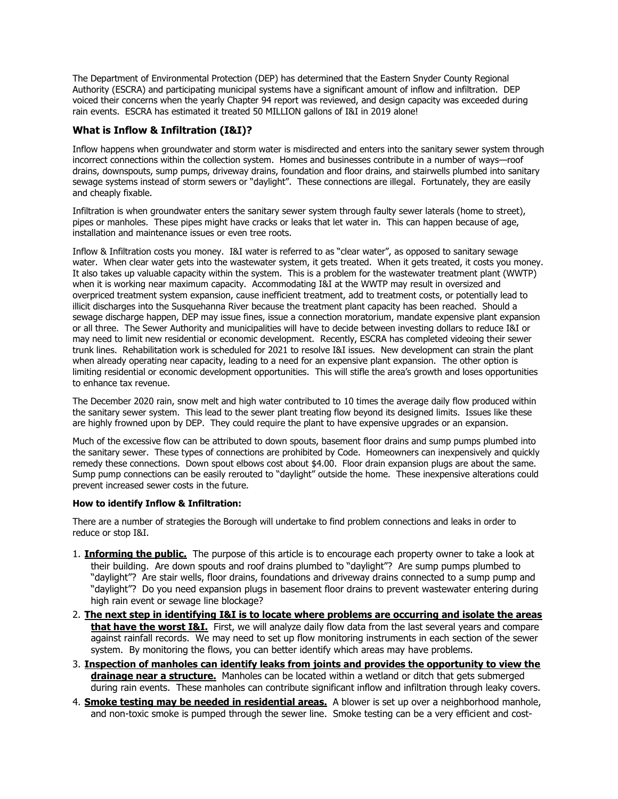The Department of Environmental Protection (DEP) has determined that the Eastern Snyder County Regional Authority (ESCRA) and participating municipal systems have a significant amount of inflow and infiltration. DEP voiced their concerns when the yearly Chapter 94 report was reviewed, and design capacity was exceeded during rain events. ESCRA has estimated it treated 50 MILLION gallons of I&I in 2019 alone!

## **What is Inflow & Infiltration (I&I)?**

Inflow happens when groundwater and storm water is misdirected and enters into the sanitary sewer system through incorrect connections within the collection system. Homes and businesses contribute in a number of ways—roof drains, downspouts, sump pumps, driveway drains, foundation and floor drains, and stairwells plumbed into sanitary sewage systems instead of storm sewers or "daylight". These connections are illegal. Fortunately, they are easily and cheaply fixable.

Infiltration is when groundwater enters the sanitary sewer system through faulty sewer laterals (home to street), pipes or manholes. These pipes might have cracks or leaks that let water in. This can happen because of age, installation and maintenance issues or even tree roots.

Inflow & Infiltration costs you money. I&I water is referred to as "clear water", as opposed to sanitary sewage water. When clear water gets into the wastewater system, it gets treated. When it gets treated, it costs you money. It also takes up valuable capacity within the system. This is a problem for the wastewater treatment plant (WWTP) when it is working near maximum capacity. Accommodating I&I at the WWTP may result in oversized and overpriced treatment system expansion, cause inefficient treatment, add to treatment costs, or potentially lead to illicit discharges into the Susquehanna River because the treatment plant capacity has been reached. Should a sewage discharge happen, DEP may issue fines, issue a connection moratorium, mandate expensive plant expansion or all three. The Sewer Authority and municipalities will have to decide between investing dollars to reduce I&I or may need to limit new residential or economic development. Recently, ESCRA has completed videoing their sewer trunk lines. Rehabilitation work is scheduled for 2021 to resolve I&I issues. New development can strain the plant when already operating near capacity, leading to a need for an expensive plant expansion. The other option is limiting residential or economic development opportunities. This will stifle the area's growth and loses opportunities to enhance tax revenue.

The December 2020 rain, snow melt and high water contributed to 10 times the average daily flow produced within the sanitary sewer system. This lead to the sewer plant treating flow beyond its designed limits. Issues like these are highly frowned upon by DEP. They could require the plant to have expensive upgrades or an expansion.

Much of the excessive flow can be attributed to down spouts, basement floor drains and sump pumps plumbed into the sanitary sewer. These types of connections are prohibited by Code. Homeowners can inexpensively and quickly remedy these connections. Down spout elbows cost about \$4.00. Floor drain expansion plugs are about the same. Sump pump connections can be easily rerouted to "daylight" outside the home. These inexpensive alterations could prevent increased sewer costs in the future.

## **How to identify Inflow & Infiltration:**

There are a number of strategies the Borough will undertake to find problem connections and leaks in order to reduce or stop I&I.

- 1. **Informing the public.** The purpose of this article is to encourage each property owner to take a look at their building. Are down spouts and roof drains plumbed to "daylight"? Are sump pumps plumbed to "daylight"? Are stair wells, floor drains, foundations and driveway drains connected to a sump pump and "daylight"? Do you need expansion plugs in basement floor drains to prevent wastewater entering during high rain event or sewage line blockage?
- 2. **The next step in identifying I&I is to locate where problems are occurring and isolate the areas that have the worst I&I.** First, we will analyze daily flow data from the last several years and compare against rainfall records. We may need to set up flow monitoring instruments in each section of the sewer system. By monitoring the flows, you can better identify which areas may have problems.
- 3. **Inspection of manholes can identify leaks from joints and provides the opportunity to view the drainage near a structure.** Manholes can be located within a wetland or ditch that gets submerged during rain events. These manholes can contribute significant inflow and infiltration through leaky covers.
- 4. **Smoke testing may be needed in residential areas.** A blower is set up over a neighborhood manhole, and non-toxic smoke is pumped through the sewer line. Smoke testing can be a very efficient and cost-